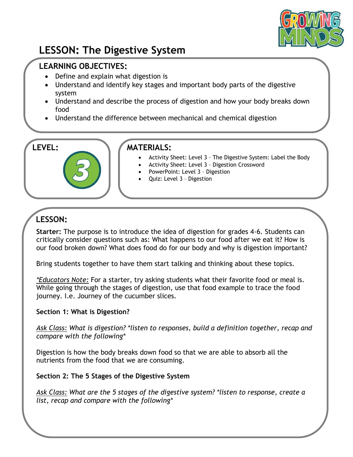

# **LESSON: The Digestive System**

## **LEARNING OBJECTIVES:**

- Define and explain what digestion is
- Understand and identify key stages and important body parts of the digestive system
- Understand and describe the process of digestion and how your body breaks down food
- Understand the difference between mechanical and chemical digestion

# **LEVEL: MATERIALS:**

- Activity Sheet: Level 3 The Digestive System: Label the Body
	- Activity Sheet: Level 3 Digestion Crossword
	- PowerPoint: Level 3 Digestion
	- Quiz: Level 3 Digestion

# **LESSON:**

**Starter:** The purpose is to introduce the idea of digestion for grades 4-6. Students can critically consider questions such as: What happens to our food after we eat it? How is our food broken down? What does food do for our body and why is digestion important?

Bring students together to have them start talking and thinking about these topics.

*\*Educators Note:* For a starter, try asking students what their favorite food or meal is. While going through the stages of digestion, use that food example to trace the food journey. I.e. Journey of the cucumber slices.

#### **Section 1: What is Digestion?**

*Ask Class: What is digestion? \*listen to responses, build a definition together, recap and compare with the following\**

Digestion is how the body breaks down food so that we are able to absorb all the nutrients from the food that we are consuming.

#### **Section 2: The 5 Stages of the Digestive System**

*Ask Class: What are the 5 stages of the digestive system? \*listen to response, create a list, recap and compare with the following\**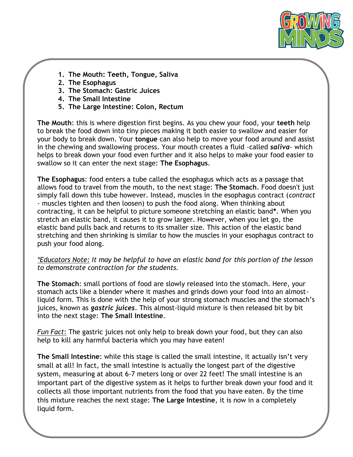

- **1. The Mouth: Teeth, Tongue, Saliva**
- **2. The Esophagus**
- **3. The Stomach: Gastric Juices**
- **4. The Small Intestine**
- **5. The Large Intestine: Colon, Rectum**

**The Mouth**: this is where digestion first begins. As you chew your food, your **teeth** help to break the food down into tiny pieces making it both easier to swallow and easier for your body to break down. Your **tongue** can also help to move your food around and assist in the chewing and swallowing process. Your mouth creates a fluid -called *saliva*- which helps to break down your food even further and it also helps to make your food easier to swallow so it can enter the next stage: **The Esophagus**.

**The Esophagus**: food enters a tube called the esophagus which acts as a passage that allows food to travel from the mouth, to the next stage: **The Stomach**. Food doesn't just simply fall down this tube however. Instead, muscles in the esophagus contract (*contract*  - muscles tighten and then loosen) to push the food along. When thinking about contracting, it can be helpful to picture someone stretching an elastic band**\***. When you stretch an elastic band, it causes it to grow larger. However, when you let go, the elastic band pulls back and returns to its smaller size. This action of the elastic band stretching and then shrinking is similar to how the muscles in your esophagus contract to push your food along.

*\*Educators Note: It may be helpful to have an elastic band for this portion of the lesson to demonstrate contraction for the students.*

**The Stomach**: small portions of food are slowly released into the stomach. Here, your stomach acts like a blender where it mashes and grinds down your food into an almostliquid form. This is done with the help of your strong stomach muscles and the stomach's juices, known as *gastric juices*. This almost-liquid mixture is then released bit by bit into the next stage: **The Small Intestine**.

*Fun Fact*: The gastric juices not only help to break down your food, but they can also help to kill any harmful bacteria which you may have eaten!

**The Small Intestine**: while this stage is called the small intestine, it actually isn't very small at all! In fact, the small intestine is actually the longest part of the digestive system, measuring at about 6-7 meters long or over 22 feet! The small intestine is an important part of the digestive system as it helps to further break down your food and it collects all those important nutrients from the food that you have eaten. By the time this mixture reaches the next stage: **The Large Intestine**, it is now in a completely liquid form.